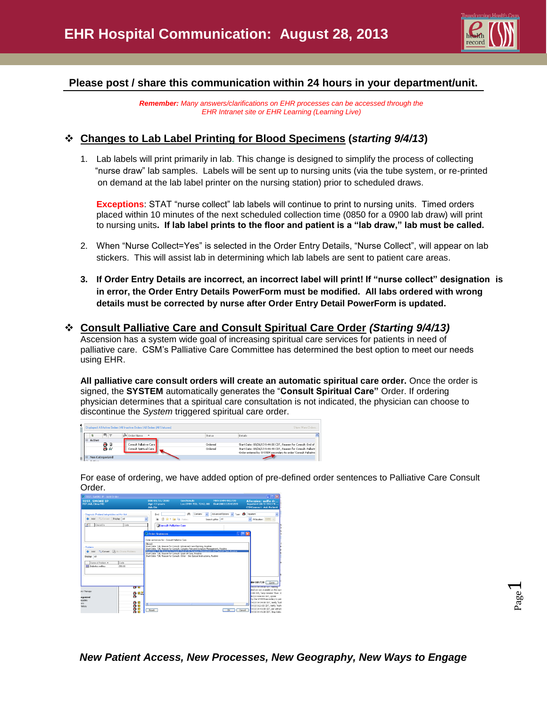

## **Please post / share this communication within 24 hours in your department/unit.**

*Remember: Many answers/clarifications on EHR processes can be accessed through the EHR Intranet site or EHR Learning (Learning Live)*

### **Changes to Lab Label Printing for Blood Specimens (***starting 9/4/13***)**

1. Lab labels will print primarily in lab. This change is designed to simplify the process of collecting "nurse draw" lab samples. Labels will be sent up to nursing units (via the tube system, or re-printed on demand at the lab label printer on the nursing station) prior to scheduled draws.

**Exceptions**: STAT "nurse collect" lab labels will continue to print to nursing units. Timed orders placed within 10 minutes of the next scheduled collection time (0850 for a 0900 lab draw) will print to nursing units**. If lab label prints to the floor and patient is a "lab draw," lab must be called.**

- 2. When "Nurse Collect=Yes" is selected in the Order Entry Details, "Nurse Collect", will appear on lab stickers. This will assist lab in determining which lab labels are sent to patient care areas.
- **3. If Order Entry Details are incorrect, an incorrect label will print! If "nurse collect" designation is in error, the Order Entry Details PowerForm must be modified. All labs ordered with wrong details must be corrected by nurse after Order Entry Detail PowerForm is updated.**

#### **Consult Palliative Care and Consult Spiritual Care Order** *(Starting 9/4/13)*

Ascension has a system wide goal of increasing spiritual care services for patients in need of palliative care. CSM's Palliative Care Committee has determined the best option to meet our needs using EHR.

**All palliative care consult orders will create an automatic spiritual care order.** Once the order is signed, the **SYSTEM** automatically generates the "**Consult Spiritual Care"** Order. If ordering physician determines that a spiritual care consultation is not indicated, the physician can choose to discontinue the *System* triggered spiritual care order.

| Displayed: All Active Orders   All Inactive Orders   All Orders (All Statuses)<br>Show More Orders |                                           |         |                                                                                                                                 |  |  |
|----------------------------------------------------------------------------------------------------|-------------------------------------------|---------|---------------------------------------------------------------------------------------------------------------------------------|--|--|
| 吗?                                                                                                 | ia Order Name<br>$\overline{\phantom{a}}$ | Status  | Details                                                                                                                         |  |  |
| $\Xi$ Active<br>A G                                                                                | Consult Pallative Care                    | Ordered | Start Date: 08/26/13 9:44:00 CDT, Reason for Consult: End of                                                                    |  |  |
| Fb 66                                                                                              | Consult Spiritual Care                    | Ordered | Start Date: 08/26/13 9:44:49 CDT, Reason for Consult: Pallativ<br>Order entered by SYSTEM secondary to order 'Consult Paliative |  |  |
| <b>Non Categorized</b><br>յ∣⊟                                                                      |                                           |         |                                                                                                                                 |  |  |

For ease of ordering, we have added option of pre-defined order sentences to Palliative Care Consult Order.

| <b>P. TEST, SMOKE P. - Add Order</b>                                                                                                                                                                                                     | $ \Box$ $\times$                                                                                                                                                                                                                                                                                                                                                                                                                                                                                                                                                                                                                                                                                                                                                                                                                                                 |
|------------------------------------------------------------------------------------------------------------------------------------------------------------------------------------------------------------------------------------------|------------------------------------------------------------------------------------------------------------------------------------------------------------------------------------------------------------------------------------------------------------------------------------------------------------------------------------------------------------------------------------------------------------------------------------------------------------------------------------------------------------------------------------------------------------------------------------------------------------------------------------------------------------------------------------------------------------------------------------------------------------------------------------------------------------------------------------------------------------------|
| <b>TEST, SMOKE IP</b><br>PCP: Adl, Dima MD                                                                                                                                                                                               | DOB:01/01/2000<br>Sex:Female<br>MRN:SMN-901739<br>Allergies: sulfa dr<br>Age:13 years<br>Loc: SMM 7EB; 7242; 00<br>Fin#:000112043209<br>Inpatient [8/2/2013 9:<br>Adv Dir:<br><b>CSMConnect: Ask Patient</b>                                                                                                                                                                                                                                                                                                                                                                                                                                                                                                                                                                                                                                                     |
| Diagnosis (Problem) being Addressed this Visit<br>Convert Display, All<br>Add<br>Clinical Dx<br>Code                                                                                                                                     | Advanced Dollary<br>v Type: Co Inpatient<br>品<br>Contains<br>Find<br>G de - En la rotter<br>M At location: SNM V<br>Search within: All<br><b>Consult Palliative Care</b><br>$ \Box$ $\times$<br><b>D</b> Order Sentences                                                                                                                                                                                                                                                                                                                                                                                                                                                                                                                                                                                                                                         |
| Problems<br>** Convert Elly No Chronic Problems<br>Add<br>Display. All<br>Name of Problem A<br>Code<br><b>Dil Disbetes nelitus</b><br>250.00<br>69.99<br><b>XV Therapy</b><br>ĝ.<br>田芝<br>egorized<br>aniqqui<br>88<br>xary.<br>fistory. | Order sentences for: Consult Pallative Care<br>(None)<br>Start Date: T.N. Reason for Consult: Advanced Care Planning, Routine<br>Start Date: TrN, Reason for Consult: Complex Pain and Symptom Management, Routine<br>Start Date: TrN, Reason for Consult: End of Life Symptom Management and Comfort Care, Routine<br>Start Date: T;N, Reason for Consult: Goals of Care, Routine<br>Start Date: T.N. Reason for Consult: Other - See Special Instructions, Routine<br>MM-901739<br>Done<br><b>RESERVATION CONTINUES.</b><br>sted are not available on the mor<br>1:00 CDT, Temp Greater Than: 1<br>02/13 9:54:53 CDT, a0200<br>by the SYSTEM secondary to pat<br>14/13 14:34:00 CDT, Yerly "Aut<br>k.<br>$\rightarrow$<br>14/13 9:21:00 CDT, Verify "Auth<br>14/13 14:41:00 CDT, per unit pr<br>CK<br>Cancel<br><b>Reset</b><br>14/13 14:41:00 CDT, Stop Date: |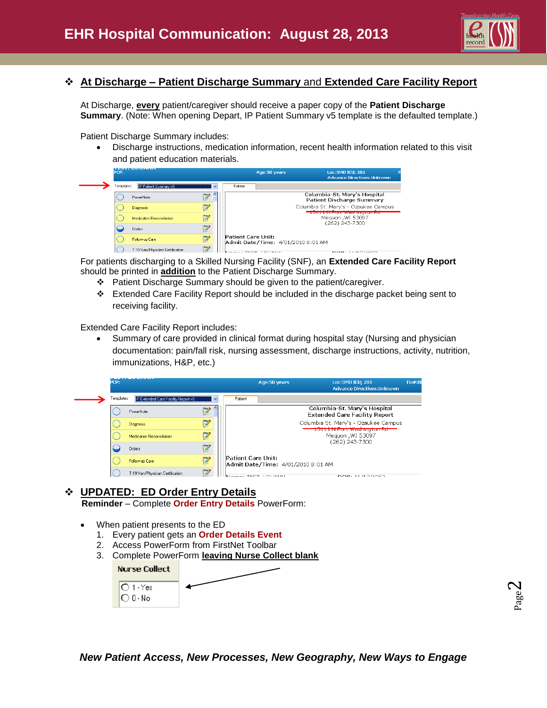

# **At Discharge – Patient Discharge Summary** and **Extended Care Facility Report**

At Discharge, **every** patient/caregiver should receive a paper copy of the **Patient Discharge Summary.** (Note: When opening Depart, IP Patient Summary v5 template is the defaulted template.)

Patient Discharge Summary includes:

 Discharge instructions, medication information, recent health information related to this visit and patient education materials.

| PCP:       | <b>BERTH FROM AN ALL LATER</b>   |               |                    | Age:50 years                       | Loc:SMO ICU: 281<br><b>Advance Directives:Unknown</b>                                                                                                          |
|------------|----------------------------------|---------------|--------------------|------------------------------------|----------------------------------------------------------------------------------------------------------------------------------------------------------------|
| Templates: | IP Patient Summary v5            | $\checkmark$  | Patient            |                                    |                                                                                                                                                                |
|            | PowerNote                        |               |                    |                                    | Columbia-St. Mary's Hospital<br><b>Patient Discharge Summary</b>                                                                                               |
|            | <b>Diagnosis</b>                 |               |                    |                                    | Columbia St. Mary's - Ozaukee Campus                                                                                                                           |
|            | <b>Medication Reconciliation</b> |               |                    |                                    | <u>Program de la programa de la programa de la programa de la programa de la programa de la programa de la programa</u><br>Mequon , WI 53097<br>(262) 243-7300 |
|            | <b>Orders</b>                    |               |                    |                                    |                                                                                                                                                                |
|            | Follow-up Care                   |               | Patient Care Unit: | Admit Date/Time: 4/01/2010 8:01 AM |                                                                                                                                                                |
|            | T-19 Van/Physician Certification | <b>Romy 4</b> |                    | TECT LOUISER                       | <b>DOD: 11/10/1000</b>                                                                                                                                         |

For patients discharging to a Skilled Nursing Facility (SNF), an **Extended Care Facility Report** should be printed in **addition** to the Patient Discharge Summary.

- Patient Discharge Summary should be given to the patient/caregiver.
- Extended Care Facility Report should be included in the discharge packet being sent to receiving facility.

Extended Care Facility Report includes:

 Summary of care provided in clinical format during hospital stay (Nursing and physician documentation: pain/fall risk, nursing assessment, discharge instructions, activity, nutrition, immunizations, H&P, etc.)



# **UPDATED: ED Order Entry Details**

 **Reminder** – Complete **Order Entry Details** PowerForm:

- When patient presents to the ED
	- 1. Every patient gets an **Order Details Event**
	- 2. Access PowerForm from FirstNet Toolbar
	- 3. Complete PowerForm **leaving Nurse Collect blank**

| <b>Nurse Collect</b>  |  |
|-----------------------|--|
| $\bigcirc$ 1 - Yes    |  |
| $\overline{O}$ 0 - No |  |

*New Patient Access, New Processes, New Geography, New Ways to Engage*